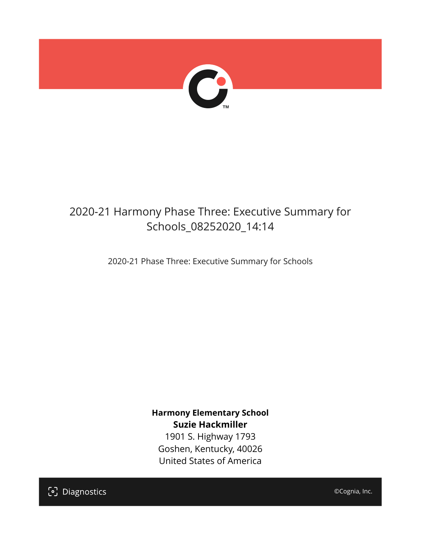

## 2020-21 Harmony Phase Three: Executive Summary for Schools\_08252020\_14:14

2020-21 Phase Three: Executive Summary for Schools

**Harmony Elementary School Suzie Hackmiller**

1901 S. Highway 1793 Goshen, Kentucky, 40026 United States of America

[၁] Diagnostics

©Cognia, Inc.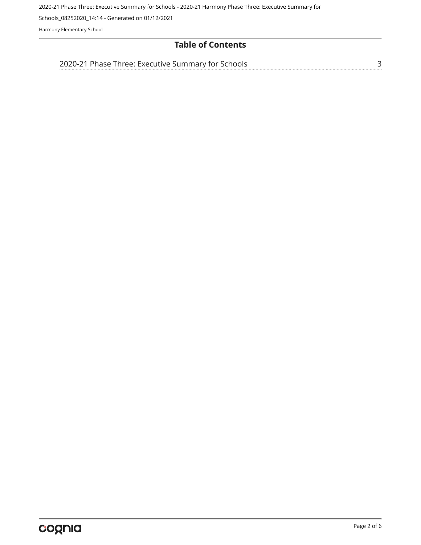2020-21 Phase Three: Executive Summary for Schools - 2020-21 Harmony Phase Three: Executive Summary for

Schools\_08252020\_14:14 - Generated on 01/12/2021

Harmony Elementary School

## **Table of Contents**

[2020-21 Phase Three: Executive Summary for Schools](#page-2-0)[3](#page-2-0)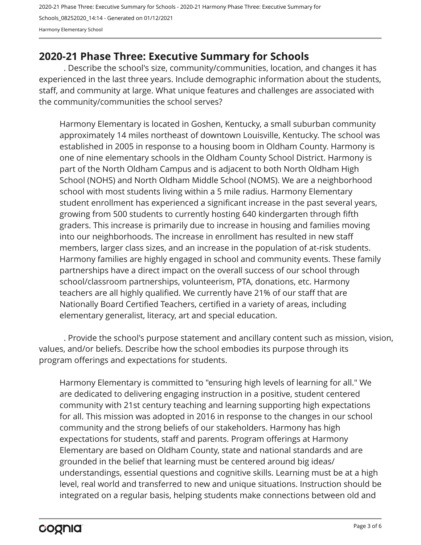2020-21 Phase Three: Executive Summary for Schools - 2020-21 Harmony Phase Three: Executive Summary for Schools\_08252020\_14:14 - Generated on 01/12/2021 Harmony Elementary School

## <span id="page-2-0"></span>**2020-21 Phase Three: Executive Summary for Schools**

. Describe the school's size, community/communities, location, and changes it has experienced in the last three years. Include demographic information about the students, staff, and community at large. What unique features and challenges are associated with the community/communities the school serves?

Harmony Elementary is located in Goshen, Kentucky, a small suburban community approximately 14 miles northeast of downtown Louisville, Kentucky. The school was established in 2005 in response to a housing boom in Oldham County. Harmony is one of nine elementary schools in the Oldham County School District. Harmony is part of the North Oldham Campus and is adjacent to both North Oldham High School (NOHS) and North Oldham Middle School (NOMS). We are a neighborhood school with most students living within a 5 mile radius. Harmony Elementary student enrollment has experienced a significant increase in the past several years, growing from 500 students to currently hosting 640 kindergarten through fifth graders. This increase is primarily due to increase in housing and families moving into our neighborhoods. The increase in enrollment has resulted in new staff members, larger class sizes, and an increase in the population of at-risk students. Harmony families are highly engaged in school and community events. These family partnerships have a direct impact on the overall success of our school through school/classroom partnerships, volunteerism, PTA, donations, etc. Harmony teachers are all highly qualified. We currently have 21% of our staff that are Nationally Board Certified Teachers, certified in a variety of areas, including elementary generalist, literacy, art and special education.

. Provide the school's purpose statement and ancillary content such as mission, vision, values, and/or beliefs. Describe how the school embodies its purpose through its program offerings and expectations for students.

Harmony Elementary is committed to "ensuring high levels of learning for all." We are dedicated to delivering engaging instruction in a positive, student centered community with 21st century teaching and learning supporting high expectations for all. This mission was adopted in 2016 in response to the changes in our school community and the strong beliefs of our stakeholders. Harmony has high expectations for students, staff and parents. Program offerings at Harmony Elementary are based on Oldham County, state and national standards and are grounded in the belief that learning must be centered around big ideas/ understandings, essential questions and cognitive skills. Learning must be at a high level, real world and transferred to new and unique situations. Instruction should be integrated on a regular basis, helping students make connections between old and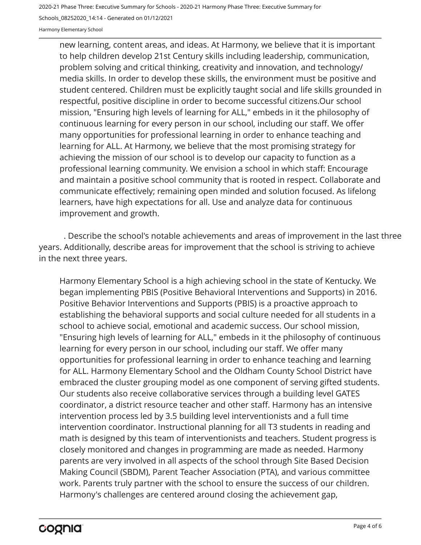2020-21 Phase Three: Executive Summary for Schools - 2020-21 Harmony Phase Three: Executive Summary for

Schools\_08252020\_14:14 - Generated on 01/12/2021

Harmony Elementary School

new learning, content areas, and ideas. At Harmony, we believe that it is important to help children develop 21st Century skills including leadership, communication, problem solving and critical thinking, creativity and innovation, and technology/ media skills. In order to develop these skills, the environment must be positive and student centered. Children must be explicitly taught social and life skills grounded in respectful, positive discipline in order to become successful citizens.Our school mission, "Ensuring high levels of learning for ALL," embeds in it the philosophy of continuous learning for every person in our school, including our staff. We offer many opportunities for professional learning in order to enhance teaching and learning for ALL. At Harmony, we believe that the most promising strategy for achieving the mission of our school is to develop our capacity to function as a professional learning community. We envision a school in which staff: Encourage and maintain a positive school community that is rooted in respect. Collaborate and communicate effectively; remaining open minded and solution focused. As lifelong learners, have high expectations for all. Use and analyze data for continuous improvement and growth.

. Describe the school's notable achievements and areas of improvement in the last three years. Additionally, describe areas for improvement that the school is striving to achieve in the next three years.

Harmony Elementary School is a high achieving school in the state of Kentucky. We began implementing PBIS (Positive Behavioral Interventions and Supports) in 2016. Positive Behavior Interventions and Supports (PBIS) is a proactive approach to establishing the behavioral supports and social culture needed for all students in a school to achieve social, emotional and academic success. Our school mission, "Ensuring high levels of learning for ALL," embeds in it the philosophy of continuous learning for every person in our school, including our staff. We offer many opportunities for professional learning in order to enhance teaching and learning for ALL. Harmony Elementary School and the Oldham County School District have embraced the cluster grouping model as one component of serving gifted students. Our students also receive collaborative services through a building level GATES coordinator, a district resource teacher and other staff. Harmony has an intensive intervention process led by 3.5 building level interventionists and a full time intervention coordinator. Instructional planning for all T3 students in reading and math is designed by this team of interventionists and teachers. Student progress is closely monitored and changes in programming are made as needed. Harmony parents are very involved in all aspects of the school through Site Based Decision Making Council (SBDM), Parent Teacher Association (PTA), and various committee work. Parents truly partner with the school to ensure the success of our children. Harmony's challenges are centered around closing the achievement gap,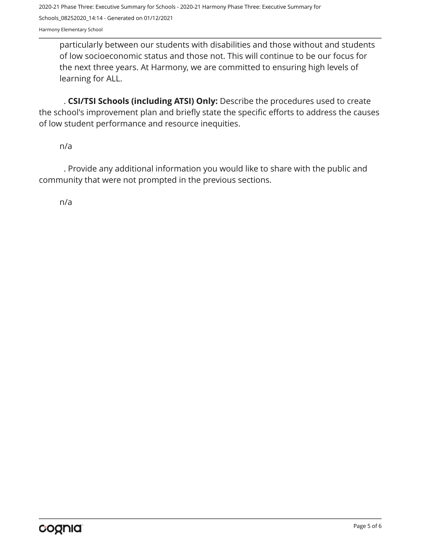2020-21 Phase Three: Executive Summary for Schools - 2020-21 Harmony Phase Three: Executive Summary for Schools\_08252020\_14:14 - Generated on 01/12/2021 Harmony Elementary School

particularly between our students with disabilities and those without and students of low socioeconomic status and those not. This will continue to be our focus for the next three years. At Harmony, we are committed to ensuring high levels of learning for ALL.

. **CSI/TSI Schools (including ATSI) Only:** Describe the procedures used to create the school's improvement plan and briefly state the specific efforts to address the causes of low student performance and resource inequities.

n/a

. Provide any additional information you would like to share with the public and community that were not prompted in the previous sections.

n/a